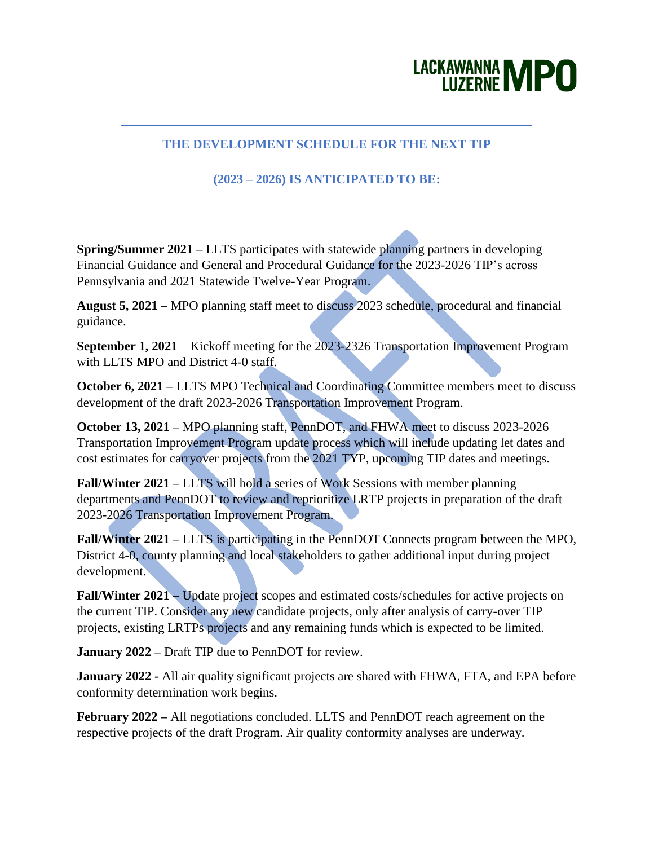## LACKAWANNA MPO

## **THE DEVELOPMENT SCHEDULE FOR THE NEXT TIP**

## **(2023 – 2026) IS ANTICIPATED TO BE:**

**Spring/Summer 2021 –** LLTS participates with statewide planning partners in developing Financial Guidance and General and Procedural Guidance for the 2023-2026 TIP's across Pennsylvania and 2021 Statewide Twelve-Year Program.

**August 5, 2021 –** MPO planning staff meet to discuss 2023 schedule, procedural and financial guidance.

**September 1, 2021** – Kickoff meeting for the 2023-2326 Transportation Improvement Program with LLTS MPO and District 4-0 staff.

**October 6, 2021 –** LLTS MPO Technical and Coordinating Committee members meet to discuss development of the draft 2023-2026 Transportation Improvement Program.

**October 13, 2021 –** MPO planning staff, PennDOT, and FHWA meet to discuss 2023-2026 Transportation Improvement Program update process which will include updating let dates and cost estimates for carryover projects from the 2021 TYP, upcoming TIP dates and meetings.

**Fall/Winter 2021 –** LLTS will hold a series of Work Sessions with member planning departments and PennDOT to review and reprioritize LRTP projects in preparation of the draft 2023-2026 Transportation Improvement Program.

**Fall/Winter 2021 –** LLTS is participating in the PennDOT Connects program between the MPO, District 4-0, county planning and local stakeholders to gather additional input during project development.

**Fall/Winter 2021 –** Update project scopes and estimated costs/schedules for active projects on the current TIP. Consider any new candidate projects, only after analysis of carry-over TIP projects, existing LRTPs projects and any remaining funds which is expected to be limited.

**January 2022 –** Draft TIP due to PennDOT for review.

**January 2022 -** All air quality significant projects are shared with FHWA, FTA, and EPA before conformity determination work begins.

**February 2022 –** All negotiations concluded. LLTS and PennDOT reach agreement on the respective projects of the draft Program. Air quality conformity analyses are underway.